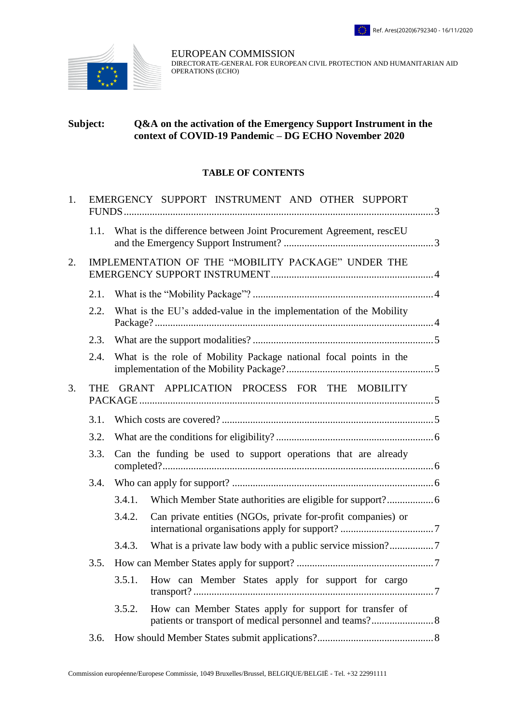

EUROPEAN COMMISSION DIRECTORATE-GENERAL FOR EUROPEAN CIVIL PROTECTION AND HUMANITARIAN AID OPERATIONS (ECHO)

# **Subject: Q&A on the activation of the Emergency Support Instrument in the context of COVID-19 Pandemic – DG ECHO November 2020**

#### **TABLE OF CONTENTS**

| 1. | EMERGENCY SUPPORT INSTRUMENT AND OTHER SUPPORT           |                                                                |                                                                    |  |
|----|----------------------------------------------------------|----------------------------------------------------------------|--------------------------------------------------------------------|--|
|    | 1.1.                                                     |                                                                | What is the difference between Joint Procurement Agreement, rescEU |  |
| 2. | IMPLEMENTATION OF THE "MOBILITY PACKAGE" UNDER THE       |                                                                |                                                                    |  |
|    | 2.1.                                                     |                                                                |                                                                    |  |
|    | 2.2.                                                     |                                                                | What is the EU's added-value in the implementation of the Mobility |  |
|    | 2.3.                                                     |                                                                |                                                                    |  |
|    | 2.4.                                                     |                                                                | What is the role of Mobility Package national focal points in the  |  |
| 3. | GRANT APPLICATION PROCESS FOR THE MOBILITY<br><b>THE</b> |                                                                |                                                                    |  |
|    | 3.1.                                                     |                                                                |                                                                    |  |
|    | 3.2.                                                     |                                                                |                                                                    |  |
|    | 3.3.                                                     | Can the funding be used to support operations that are already |                                                                    |  |
|    | 3.4.                                                     |                                                                |                                                                    |  |
|    |                                                          | 3.4.1.                                                         |                                                                    |  |
|    |                                                          | 3.4.2.                                                         | Can private entities (NGOs, private for-profit companies) or       |  |
|    |                                                          | 3.4.3.                                                         |                                                                    |  |
|    | 3.5.                                                     |                                                                |                                                                    |  |
|    |                                                          | 3.5.1.                                                         | How can Member States apply for support for cargo                  |  |
|    |                                                          | 3.5.2.                                                         | How can Member States apply for support for transfer of            |  |
|    | 3.6.                                                     |                                                                |                                                                    |  |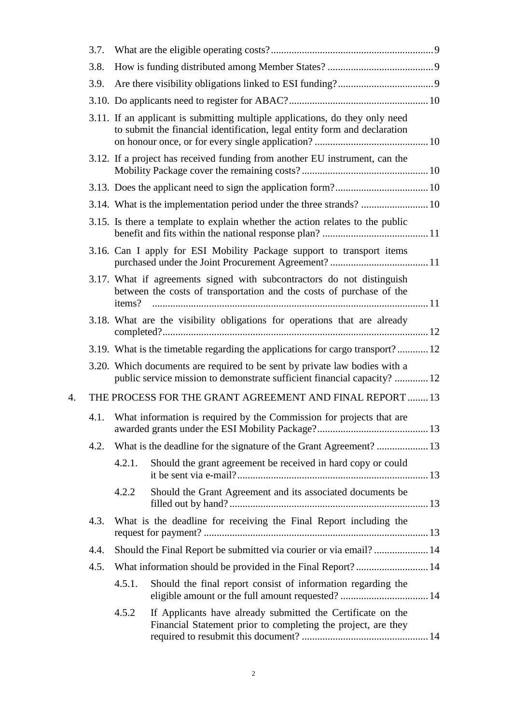|    | 3.7. |                                                                      |                                                                                                                                                           |  |
|----|------|----------------------------------------------------------------------|-----------------------------------------------------------------------------------------------------------------------------------------------------------|--|
|    | 3.8. |                                                                      |                                                                                                                                                           |  |
|    | 3.9. |                                                                      |                                                                                                                                                           |  |
|    |      |                                                                      |                                                                                                                                                           |  |
|    |      |                                                                      | 3.11. If an applicant is submitting multiple applications, do they only need<br>to submit the financial identification, legal entity form and declaration |  |
|    |      |                                                                      | 3.12. If a project has received funding from another EU instrument, can the                                                                               |  |
|    |      |                                                                      |                                                                                                                                                           |  |
|    |      |                                                                      | 3.14. What is the implementation period under the three strands?  10                                                                                      |  |
|    |      |                                                                      | 3.15. Is there a template to explain whether the action relates to the public                                                                             |  |
|    |      |                                                                      | 3.16. Can I apply for ESI Mobility Package support to transport items                                                                                     |  |
|    |      | items?                                                               | 3.17. What if agreements signed with subcontractors do not distinguish<br>between the costs of transportation and the costs of purchase of the            |  |
|    |      |                                                                      | 3.18. What are the visibility obligations for operations that are already                                                                                 |  |
|    |      |                                                                      | 3.19. What is the timetable regarding the applications for cargo transport? 12                                                                            |  |
|    |      |                                                                      | 3.20. Which documents are required to be sent by private law bodies with a<br>public service mission to demonstrate sufficient financial capacity?  12    |  |
| 4. |      |                                                                      | THE PROCESS FOR THE GRANT AGREEMENT AND FINAL REPORT  13                                                                                                  |  |
|    | 4.1. | What information is required by the Commission for projects that are |                                                                                                                                                           |  |
|    | 4.2. |                                                                      | What is the deadline for the signature of the Grant Agreement?  13                                                                                        |  |
|    |      | 4.2.1.                                                               | Should the grant agreement be received in hard copy or could                                                                                              |  |
|    |      | 4.2.2                                                                | Should the Grant Agreement and its associated documents be                                                                                                |  |
|    | 4.3. |                                                                      | What is the deadline for receiving the Final Report including the                                                                                         |  |
|    | 4.4. |                                                                      | Should the Final Report be submitted via courier or via email?  14                                                                                        |  |
|    | 4.5. |                                                                      | What information should be provided in the Final Report? 14                                                                                               |  |
|    |      | 4.5.1.                                                               | Should the final report consist of information regarding the                                                                                              |  |
|    |      | 4.5.2                                                                | If Applicants have already submitted the Certificate on the<br>Financial Statement prior to completing the project, are they                              |  |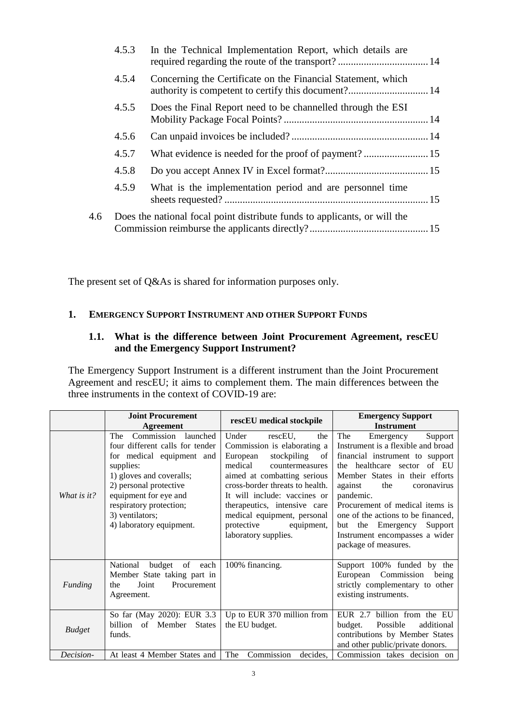|     | 4.5.3 | In the Technical Implementation Report, which details are                 |  |
|-----|-------|---------------------------------------------------------------------------|--|
|     | 4.5.4 | Concerning the Certificate on the Financial Statement, which              |  |
|     | 4.5.5 | Does the Final Report need to be channelled through the ESI               |  |
|     | 4.5.6 |                                                                           |  |
|     | 4.5.7 |                                                                           |  |
|     | 4.5.8 |                                                                           |  |
|     | 4.5.9 | What is the implementation period and are personnel time                  |  |
| 4.6 |       | Does the national focal point distribute funds to applicants, or will the |  |

The present set of Q&As is shared for information purposes only.

### <span id="page-2-0"></span>**1. EMERGENCY SUPPORT INSTRUMENT AND OTHER SUPPORT FUNDS**

# <span id="page-2-1"></span>**1.1. What is the difference between Joint Procurement Agreement, rescEU and the Emergency Support Instrument?**

The Emergency Support Instrument is a different instrument than the Joint Procurement Agreement and rescEU; it aims to complement them. The main differences between the three instruments in the context of COVID-19 are:

|               | <b>Joint Procurement</b><br><b>Agreement</b>                                                                                                                                                                                                                     | rescEU medical stockpile                                                                                                                                                                                                                                                                                                                   | <b>Emergency Support</b><br><b>Instrument</b>                                                                                                                                                                                                                                                                                                                                                |
|---------------|------------------------------------------------------------------------------------------------------------------------------------------------------------------------------------------------------------------------------------------------------------------|--------------------------------------------------------------------------------------------------------------------------------------------------------------------------------------------------------------------------------------------------------------------------------------------------------------------------------------------|----------------------------------------------------------------------------------------------------------------------------------------------------------------------------------------------------------------------------------------------------------------------------------------------------------------------------------------------------------------------------------------------|
| What is it?   | Commission launched<br>The<br>four different calls for tender<br>for medical equipment and<br>supplies:<br>1) gloves and coveralls;<br>2) personal protective<br>equipment for eye and<br>respiratory protection;<br>3) ventilators;<br>4) laboratory equipment. | Under<br>rescEU.<br>the<br>Commission is elaborating a<br>European<br>stockpiling<br>of<br>medical<br>countermeasures<br>aimed at combatting serious<br>cross-border threats to health.<br>It will include: vaccines or<br>therapeutics, intensive care<br>medical equipment, personal<br>protective<br>equipment,<br>laboratory supplies. | The<br>Support<br>Emergency<br>Instrument is a flexible and broad<br>financial instrument to support<br>the healthcare sector of EU<br>Member States in their efforts<br>against<br>the<br>coronavirus<br>pandemic.<br>Procurement of medical items is<br>one of the actions to be financed,<br>Emergency<br>Support<br>the<br>but<br>Instrument encompasses a wider<br>package of measures. |
| Funding       | National<br>budget of each<br>Member State taking part in<br>Joint<br>Procurement<br>the<br>Agreement.                                                                                                                                                           | 100% financing.                                                                                                                                                                                                                                                                                                                            | Support 100% funded by the<br>European<br>Commission<br>being<br>strictly complementary to other<br>existing instruments.                                                                                                                                                                                                                                                                    |
| <b>Budget</b> | So far (May 2020): EUR 3.3<br>billion<br>of<br>Member<br><b>States</b><br>funds.                                                                                                                                                                                 | Up to EUR 370 million from<br>the EU budget.                                                                                                                                                                                                                                                                                               | EUR 2.7 billion from the EU<br>Possible<br>budget.<br>additional<br>contributions by Member States<br>and other public/private donors.                                                                                                                                                                                                                                                       |
| Decision-     | At least 4 Member States and                                                                                                                                                                                                                                     | The<br>Commission<br>decides.                                                                                                                                                                                                                                                                                                              | Commission takes decision on                                                                                                                                                                                                                                                                                                                                                                 |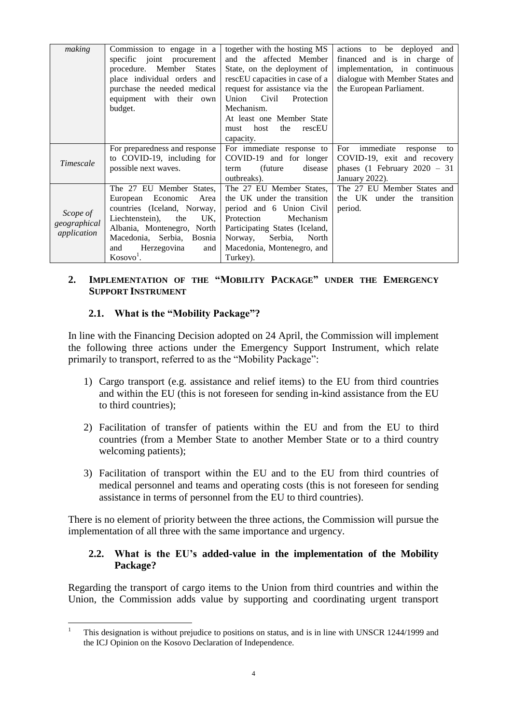| making       | Commission to engage in a<br>specific joint procurement | together with the hosting MS<br>and the affected Member | actions to be deployed and<br>financed and is in charge of |
|--------------|---------------------------------------------------------|---------------------------------------------------------|------------------------------------------------------------|
|              |                                                         |                                                         |                                                            |
|              | procedure. Member<br><b>States</b>                      | State, on the deployment of                             | implementation, in continuous                              |
|              | place individual orders and                             | rescEU capacities in case of a                          | dialogue with Member States and                            |
|              | purchase the needed medical                             | request for assistance via the                          | the European Parliament.                                   |
|              | equipment with their own                                | Civil<br>Union<br>Protection                            |                                                            |
|              | budget.                                                 | Mechanism.                                              |                                                            |
|              |                                                         | At least one Member State                               |                                                            |
|              |                                                         | host<br>the<br>rescEU<br>must                           |                                                            |
|              |                                                         | capacity.                                               |                                                            |
|              | For preparedness and response                           | For immediate response to                               | For<br>immediate<br>response<br>to                         |
|              | to COVID-19, including for                              | COVID-19 and for longer                                 | COVID-19, exit and recovery                                |
| Timescale    | possible next waves.                                    | (future)<br>disease<br>term                             | phases $(1$ February $2020 - 31$                           |
|              |                                                         | outbreaks).                                             | January 2022).                                             |
|              | The 27 EU Member States,                                | The 27 EU Member States,                                | The 27 EU Member States and                                |
|              | Economic<br>Area<br>European                            | the UK under the transition                             | the UK under the transition                                |
|              | countries (Iceland, Norway,                             | period and 6 Union Civil                                | period.                                                    |
| Scope of     | Liechtenstein),<br>UK.<br>the                           | Protection<br>Mechanism                                 |                                                            |
| geographical |                                                         |                                                         |                                                            |
| application  | Albania, Montenegro, North                              | Participating States (Iceland,                          |                                                            |
|              | Macedonia, Serbia, Bosnia                               | Serbia,<br>Norway,<br>North                             |                                                            |
|              | Herzegovina<br>and<br>and                               | Macedonia, Montenegro, and                              |                                                            |
|              | $KosovoT$ .                                             | Turkey).                                                |                                                            |

### <span id="page-3-0"></span>**2. IMPLEMENTATION OF THE "MOBILITY PACKAGE" UNDER THE EMERGENCY SUPPORT INSTRUMENT**

# <span id="page-3-1"></span>**2.1. What is the "Mobility Package"?**

In line with the Financing Decision adopted on 24 April, the Commission will implement the following three actions under the Emergency Support Instrument, which relate primarily to transport, referred to as the "Mobility Package":

- 1) Cargo transport (e.g. assistance and relief items) to the EU from third countries and within the EU (this is not foreseen for sending in-kind assistance from the EU to third countries);
- 2) Facilitation of transfer of patients within the EU and from the EU to third countries (from a Member State to another Member State or to a third country welcoming patients);
- 3) Facilitation of transport within the EU and to the EU from third countries of medical personnel and teams and operating costs (this is not foreseen for sending assistance in terms of personnel from the EU to third countries).

There is no element of priority between the three actions, the Commission will pursue the implementation of all three with the same importance and urgency.

### <span id="page-3-2"></span>**2.2. What is the EU's added-value in the implementation of the Mobility Package?**

Regarding the transport of cargo items to the Union from third countries and within the Union, the Commission adds value by supporting and coordinating urgent transport

 $\overline{a}$ <sup>1</sup> This designation is without prejudice to positions on status, and is in line with UNSCR 1244/1999 and the ICJ Opinion on the Kosovo Declaration of Independence.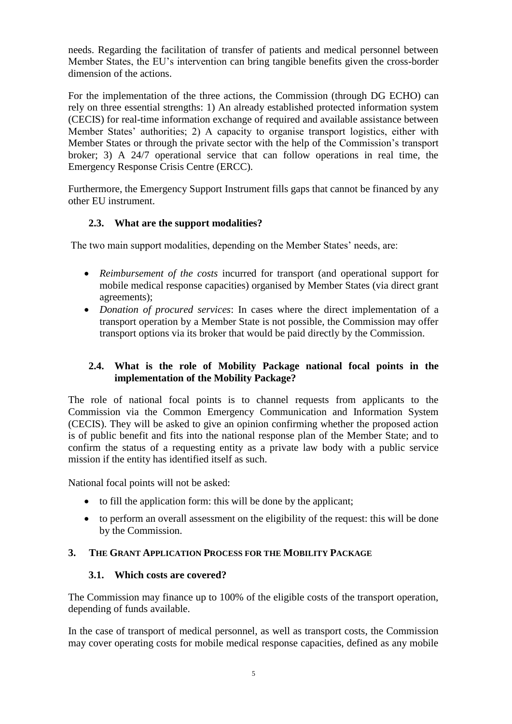needs. Regarding the facilitation of transfer of patients and medical personnel between Member States, the EU's intervention can bring tangible benefits given the cross-border dimension of the actions.

For the implementation of the three actions, the Commission (through DG ECHO) can rely on three essential strengths: 1) An already established protected information system (CECIS) for real-time information exchange of required and available assistance between Member States' authorities; 2) A capacity to organise transport logistics, either with Member States or through the private sector with the help of the Commission's transport broker; 3) A 24/7 operational service that can follow operations in real time, the Emergency Response Crisis Centre (ERCC).

Furthermore, the Emergency Support Instrument fills gaps that cannot be financed by any other EU instrument.

# <span id="page-4-0"></span>**2.3. What are the support modalities?**

The two main support modalities, depending on the Member States' needs, are:

- *Reimbursement of the costs* incurred for transport (and operational support for mobile medical response capacities) organised by Member States (via direct grant agreements);
- *Donation of procured services*: In cases where the direct implementation of a transport operation by a Member State is not possible, the Commission may offer transport options via its broker that would be paid directly by the Commission.

# <span id="page-4-1"></span>**2.4. What is the role of Mobility Package national focal points in the implementation of the Mobility Package?**

The role of national focal points is to channel requests from applicants to the Commission via the Common Emergency Communication and Information System (CECIS). They will be asked to give an opinion confirming whether the proposed action is of public benefit and fits into the national response plan of the Member State; and to confirm the status of a requesting entity as a private law body with a public service mission if the entity has identified itself as such.

National focal points will not be asked:

- to fill the application form: this will be done by the applicant;
- to perform an overall assessment on the eligibility of the request: this will be done by the Commission.

# <span id="page-4-3"></span><span id="page-4-2"></span>**3. THE GRANT APPLICATION PROCESS FOR THE MOBILITY PACKAGE**

# **3.1. Which costs are covered?**

The Commission may finance up to 100% of the eligible costs of the transport operation, depending of funds available.

In the case of transport of medical personnel, as well as transport costs, the Commission may cover operating costs for mobile medical response capacities, defined as any mobile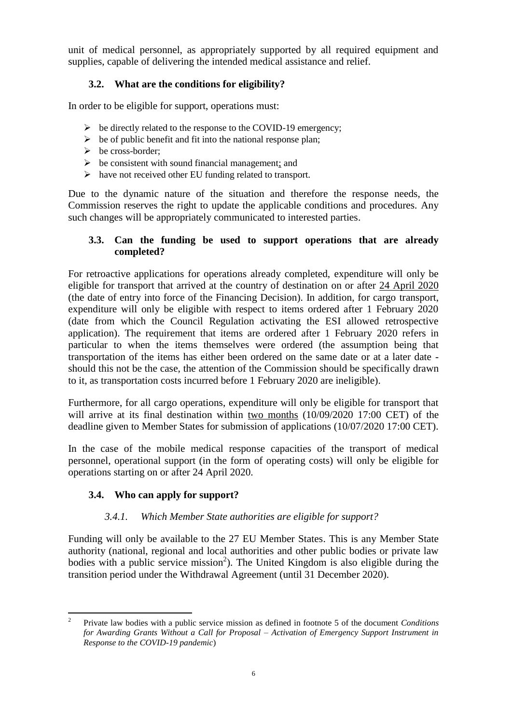unit of medical personnel, as appropriately supported by all required equipment and supplies, capable of delivering the intended medical assistance and relief.

# <span id="page-5-0"></span>**3.2. What are the conditions for eligibility?**

In order to be eligible for support, operations must:

- $\triangleright$  be directly related to the response to the COVID-19 emergency;
- $\triangleright$  be of public benefit and fit into the national response plan;
- $\triangleright$  be cross-border;
- $\triangleright$  be consistent with sound financial management; and
- $\triangleright$  have not received other EU funding related to transport.

Due to the dynamic nature of the situation and therefore the response needs, the Commission reserves the right to update the applicable conditions and procedures. Any such changes will be appropriately communicated to interested parties.

# <span id="page-5-1"></span>**3.3. Can the funding be used to support operations that are already completed?**

For retroactive applications for operations already completed, expenditure will only be eligible for transport that arrived at the country of destination on or after 24 April 2020 (the date of entry into force of the Financing Decision). In addition, for cargo transport, expenditure will only be eligible with respect to items ordered after 1 February 2020 (date from which the Council Regulation activating the ESI allowed retrospective application). The requirement that items are ordered after 1 February 2020 refers in particular to when the items themselves were ordered (the assumption being that transportation of the items has either been ordered on the same date or at a later date should this not be the case, the attention of the Commission should be specifically drawn to it, as transportation costs incurred before 1 February 2020 are ineligible).

Furthermore, for all cargo operations, expenditure will only be eligible for transport that will arrive at its final destination within two months (10/09/2020 17:00 CET) of the deadline given to Member States for submission of applications (10/07/2020 17:00 CET).

In the case of the mobile medical response capacities of the transport of medical personnel, operational support (in the form of operating costs) will only be eligible for operations starting on or after 24 April 2020.

# <span id="page-5-2"></span>**3.4. Who can apply for support?**

# *3.4.1. Which Member State authorities are eligible for support?*

<span id="page-5-3"></span>Funding will only be available to the 27 EU Member States. This is any Member State authority (national, regional and local authorities and other public bodies or private law bodies with a public service mission<sup>2</sup>). The United Kingdom is also eligible during the transition period under the Withdrawal Agreement (until 31 December 2020).

 $\frac{1}{2}$ Private law bodies with a public service mission as defined in footnote 5 of the document *Conditions for Awarding Grants Without a Call for Proposal – Activation of Emergency Support Instrument in Response to the COVID-19 pandemic*)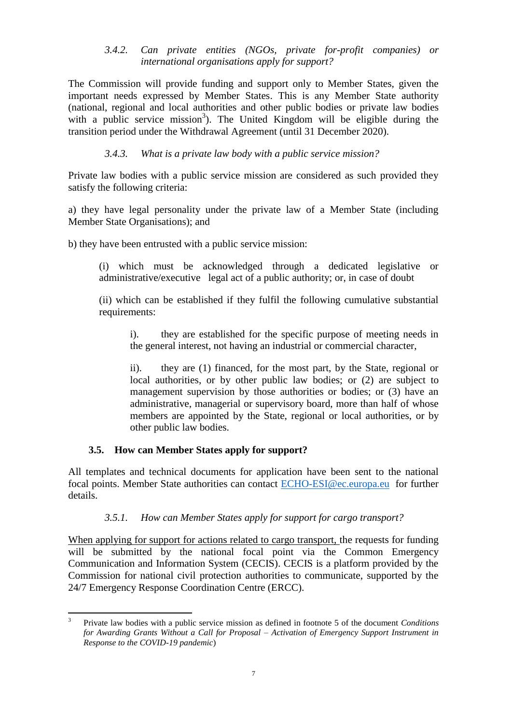### *3.4.2. Can private entities (NGOs, private for-profit companies) or international organisations apply for support?*

<span id="page-6-0"></span>The Commission will provide funding and support only to Member States, given the important needs expressed by Member States. This is any Member State authority (national, regional and local authorities and other public bodies or private law bodies with a public service mission<sup>3</sup>). The United Kingdom will be eligible during the transition period under the Withdrawal Agreement (until 31 December 2020).

# *3.4.3. What is a private law body with a public service mission?*

<span id="page-6-1"></span>Private law bodies with a public service mission are considered as such provided they satisfy the following criteria:

a) they have legal personality under the private law of a Member State (including Member State Organisations); and

b) they have been entrusted with a public service mission:

(i) which must be acknowledged through a dedicated legislative or administrative/executive legal act of a public authority; or, in case of doubt

(ii) which can be established if they fulfil the following cumulative substantial requirements:

i). they are established for the specific purpose of meeting needs in the general interest, not having an industrial or commercial character,

ii). they are (1) financed, for the most part, by the State, regional or local authorities, or by other public law bodies; or (2) are subject to management supervision by those authorities or bodies; or (3) have an administrative, managerial or supervisory board, more than half of whose members are appointed by the State, regional or local authorities, or by other public law bodies.

# **3.5. How can Member States apply for support?**

<span id="page-6-2"></span>All templates and technical documents for application have been sent to the national focal points. Member State authorities can contact [ECHO-ESI@ec.europa.eu](mailto:ECHO-ESI@ec.europa.eu) for further details.

# *3.5.1. How can Member States apply for support for cargo transport?*

<span id="page-6-3"></span>When applying for support for actions related to cargo transport, the requests for funding will be submitted by the national focal point via the Common Emergency Communication and Information System (CECIS). CECIS is a platform provided by the Commission for national civil protection authorities to communicate, supported by the 24/7 Emergency Response Coordination Centre (ERCC).

 3 Private law bodies with a public service mission as defined in footnote 5 of the document *Conditions for Awarding Grants Without a Call for Proposal – Activation of Emergency Support Instrument in Response to the COVID-19 pandemic*)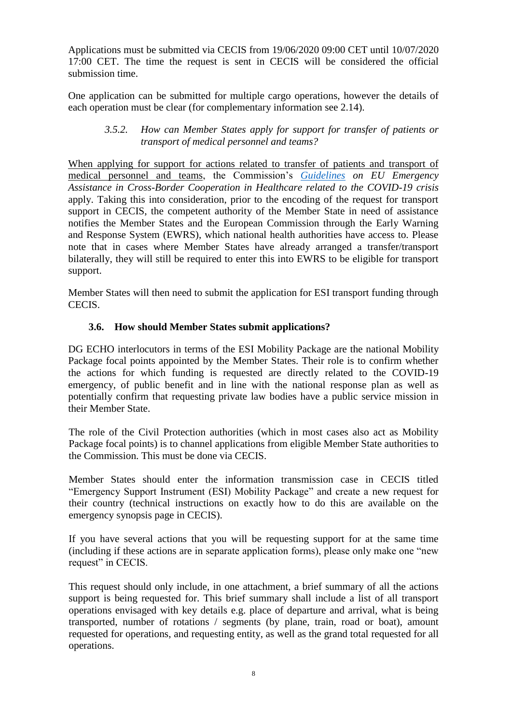Applications must be submitted via CECIS from 19/06/2020 09:00 CET until 10/07/2020 17:00 CET. The time the request is sent in CECIS will be considered the official submission time.

<span id="page-7-0"></span>One application can be submitted for multiple cargo operations, however the details of each operation must be clear (for complementary information see 2.14).

#### *3.5.2. How can Member States apply for support for transfer of patients or transport of medical personnel and teams?*

When applying for support for actions related to transfer of patients and transport of medical personnel and teams, the Commission's *[Guidelines](https://ec.europa.eu/info/sites/info/files/guidelines_on_eu_emergency_assistance_in_cross-bordercooperationin_heathcare_related_to_the_covid-19_crisis.pdf) on EU Emergency Assistance in Cross-Border Cooperation in Healthcare related to the COVID-19 crisis* apply. Taking this into consideration, prior to the encoding of the request for transport support in CECIS, the competent authority of the Member State in need of assistance notifies the Member States and the European Commission through the Early Warning and Response System (EWRS), which national health authorities have access to. Please note that in cases where Member States have already arranged a transfer/transport bilaterally, they will still be required to enter this into EWRS to be eligible for transport support.

Member States will then need to submit the application for ESI transport funding through CECIS.

# **3.6. How should Member States submit applications?**

<span id="page-7-1"></span>DG ECHO interlocutors in terms of the ESI Mobility Package are the national Mobility Package focal points appointed by the Member States. Their role is to confirm whether the actions for which funding is requested are directly related to the COVID-19 emergency, of public benefit and in line with the national response plan as well as potentially confirm that requesting private law bodies have a public service mission in their Member State.

The role of the Civil Protection authorities (which in most cases also act as Mobility Package focal points) is to channel applications from eligible Member State authorities to the Commission. This must be done via CECIS.

Member States should enter the information transmission case in CECIS titled "Emergency Support Instrument (ESI) Mobility Package" and create a new request for their country (technical instructions on exactly how to do this are available on the emergency synopsis page in CECIS).

If you have several actions that you will be requesting support for at the same time (including if these actions are in separate application forms), please only make one "new request" in CECIS.

This request should only include, in one attachment, a brief summary of all the actions support is being requested for. This brief summary shall include a list of all transport operations envisaged with key details e.g. place of departure and arrival, what is being transported, number of rotations / segments (by plane, train, road or boat), amount requested for operations, and requesting entity, as well as the grand total requested for all operations.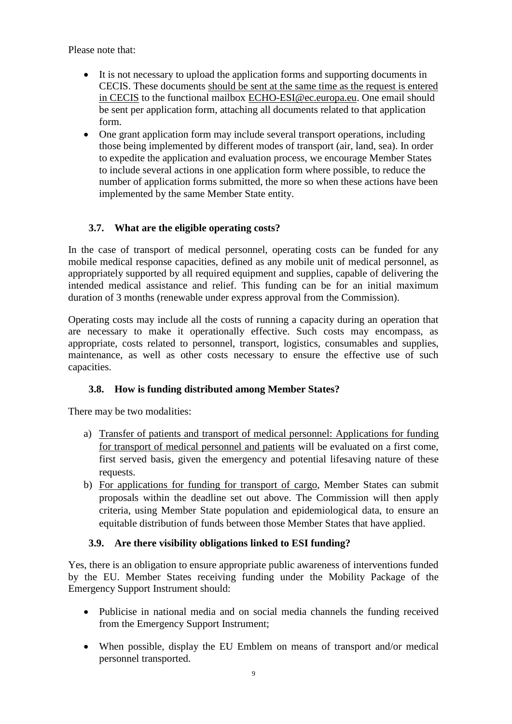Please note that:

- It is not necessary to upload the application forms and supporting documents in CECIS. These documents should be sent at the same time as the request is entered in CECIS to the functional mailbox [ECHO-ESI@ec.europa.eu.](mailto:ECHO-ESI@ec.europa.eu) One email should be sent per application form, attaching all documents related to that application form.
- One grant application form may include several transport operations, including those being implemented by different modes of transport (air, land, sea). In order to expedite the application and evaluation process, we encourage Member States to include several actions in one application form where possible, to reduce the number of application forms submitted, the more so when these actions have been implemented by the same Member State entity.

# **3.7. What are the eligible operating costs?**

<span id="page-8-0"></span>In the case of transport of medical personnel, operating costs can be funded for any mobile medical response capacities, defined as any mobile unit of medical personnel, as appropriately supported by all required equipment and supplies, capable of delivering the intended medical assistance and relief. This funding can be for an initial maximum duration of 3 months (renewable under express approval from the Commission).

Operating costs may include all the costs of running a capacity during an operation that are necessary to make it operationally effective. Such costs may encompass, as appropriate, costs related to personnel, transport, logistics, consumables and supplies, maintenance, as well as other costs necessary to ensure the effective use of such capacities.

# <span id="page-8-1"></span>**3.8. How is funding distributed among Member States?**

There may be two modalities:

- a) Transfer of patients and transport of medical personnel: Applications for funding for transport of medical personnel and patients will be evaluated on a first come, first served basis, given the emergency and potential lifesaving nature of these requests.
- b) For applications for funding for transport of cargo, Member States can submit proposals within the deadline set out above. The Commission will then apply criteria, using Member State population and epidemiological data, to ensure an equitable distribution of funds between those Member States that have applied.

# <span id="page-8-2"></span>**3.9. Are there visibility obligations linked to ESI funding?**

Yes, there is an obligation to ensure appropriate public awareness of interventions funded by the EU. Member States receiving funding under the Mobility Package of the Emergency Support Instrument should:

- Publicise in national media and on social media channels the funding received from the Emergency Support Instrument;
- When possible, display the EU Emblem on means of transport and/or medical personnel transported.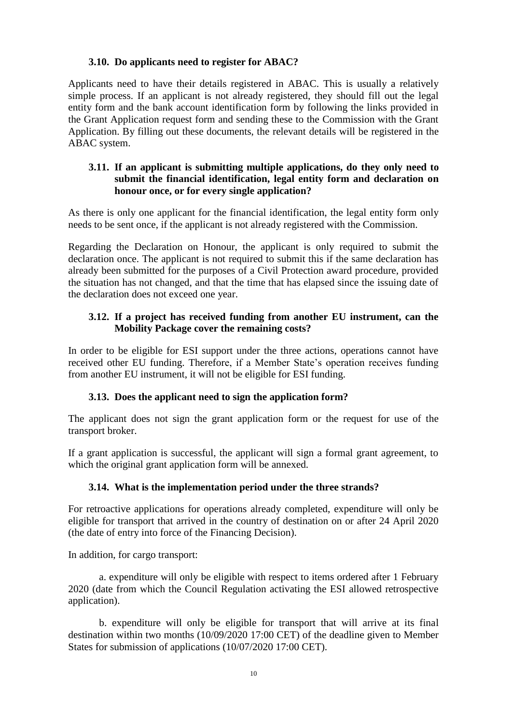#### <span id="page-9-0"></span>**3.10. Do applicants need to register for ABAC?**

Applicants need to have their details registered in ABAC. This is usually a relatively simple process. If an applicant is not already registered, they should fill out the legal entity form and the bank account identification form by following the links provided in the Grant Application request form and sending these to the Commission with the Grant Application. By filling out these documents, the relevant details will be registered in the ABAC system.

### <span id="page-9-1"></span>**3.11. If an applicant is submitting multiple applications, do they only need to submit the financial identification, legal entity form and declaration on honour once, or for every single application?**

As there is only one applicant for the financial identification, the legal entity form only needs to be sent once, if the applicant is not already registered with the Commission.

Regarding the Declaration on Honour, the applicant is only required to submit the declaration once. The applicant is not required to submit this if the same declaration has already been submitted for the purposes of a Civil Protection award procedure, provided the situation has not changed, and that the time that has elapsed since the issuing date of the declaration does not exceed one year.

### <span id="page-9-2"></span>**3.12. If a project has received funding from another EU instrument, can the Mobility Package cover the remaining costs?**

In order to be eligible for ESI support under the three actions, operations cannot have received other EU funding. Therefore, if a Member State's operation receives funding from another EU instrument, it will not be eligible for ESI funding.

# **3.13. Does the applicant need to sign the application form?**

<span id="page-9-3"></span>The applicant does not sign the grant application form or the request for use of the transport broker.

If a grant application is successful, the applicant will sign a formal grant agreement, to which the original grant application form will be annexed.

# <span id="page-9-4"></span>**3.14. What is the implementation period under the three strands?**

For retroactive applications for operations already completed, expenditure will only be eligible for transport that arrived in the country of destination on or after 24 April 2020 (the date of entry into force of the Financing Decision).

In addition, for cargo transport:

a. expenditure will only be eligible with respect to items ordered after 1 February 2020 (date from which the Council Regulation activating the ESI allowed retrospective application).

b. expenditure will only be eligible for transport that will arrive at its final destination within two months (10/09/2020 17:00 CET) of the deadline given to Member States for submission of applications (10/07/2020 17:00 CET).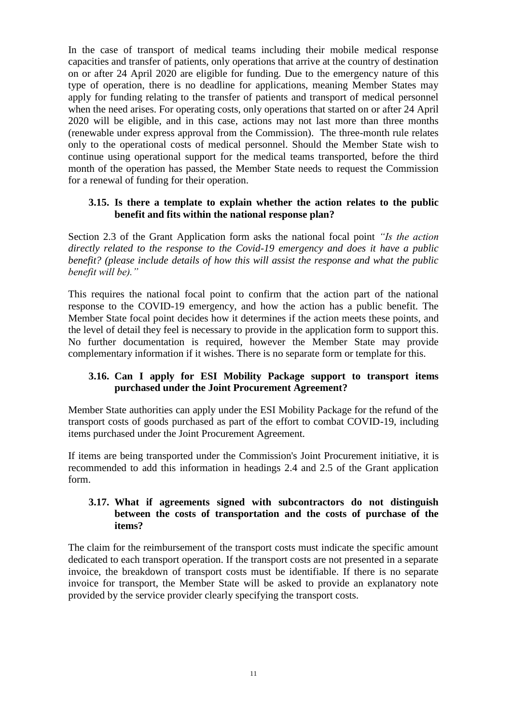In the case of transport of medical teams including their mobile medical response capacities and transfer of patients, only operations that arrive at the country of destination on or after 24 April 2020 are eligible for funding. Due to the emergency nature of this type of operation, there is no deadline for applications, meaning Member States may apply for funding relating to the transfer of patients and transport of medical personnel when the need arises. For operating costs, only operations that started on or after 24 April 2020 will be eligible, and in this case, actions may not last more than three months (renewable under express approval from the Commission). The three-month rule relates only to the operational costs of medical personnel. Should the Member State wish to continue using operational support for the medical teams transported, before the third month of the operation has passed, the Member State needs to request the Commission for a renewal of funding for their operation.

#### <span id="page-10-0"></span>**3.15. Is there a template to explain whether the action relates to the public benefit and fits within the national response plan?**

Section 2.3 of the Grant Application form asks the national focal point *"Is the action directly related to the response to the Covid-19 emergency and does it have a public benefit? (please include details of how this will assist the response and what the public benefit will be)."*

This requires the national focal point to confirm that the action part of the national response to the COVID-19 emergency, and how the action has a public benefit. The Member State focal point decides how it determines if the action meets these points, and the level of detail they feel is necessary to provide in the application form to support this. No further documentation is required, however the Member State may provide complementary information if it wishes. There is no separate form or template for this.

### <span id="page-10-1"></span>**3.16. Can I apply for ESI Mobility Package support to transport items purchased under the Joint Procurement Agreement?**

Member State authorities can apply under the ESI Mobility Package for the refund of the transport costs of goods purchased as part of the effort to combat COVID-19, including items purchased under the Joint Procurement Agreement.

If items are being transported under the Commission's Joint Procurement initiative, it is recommended to add this information in headings 2.4 and 2.5 of the Grant application form.

### <span id="page-10-2"></span>**3.17. What if agreements signed with subcontractors do not distinguish between the costs of transportation and the costs of purchase of the items?**

The claim for the reimbursement of the transport costs must indicate the specific amount dedicated to each transport operation. If the transport costs are not presented in a separate invoice, the breakdown of transport costs must be identifiable. If there is no separate invoice for transport, the Member State will be asked to provide an explanatory note provided by the service provider clearly specifying the transport costs.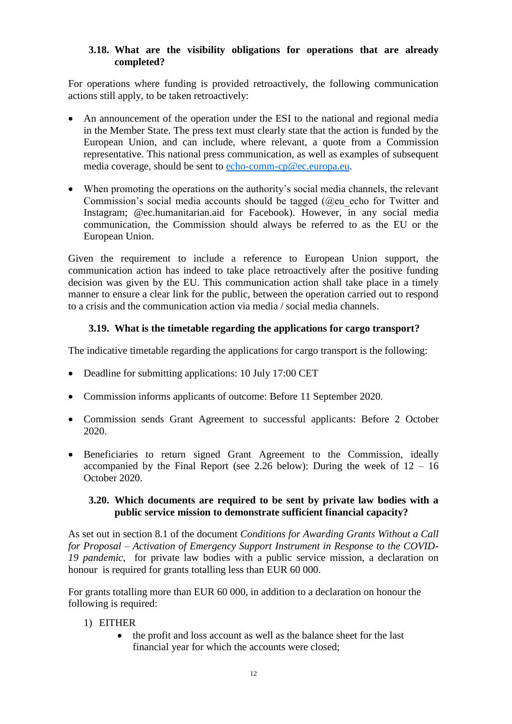### <span id="page-11-0"></span>**3.18. What are the visibility obligations for operations that are already completed?**

For operations where funding is provided retroactively, the following communication actions still apply, to be taken retroactively:

- An announcement of the operation under the ESI to the national and regional media in the Member State. The press text must clearly state that the action is funded by the European Union, and can include, where relevant, a quote from a Commission representative. This national press communication, as well as examples of subsequent media coverage, should be sent to [echo-comm-cp@ec.europa.eu.](mailto:echo-comm-cp@ec.europa.eu)
- When promoting the operations on the authority's social media channels, the relevant Commission's social media accounts should be tagged (@eu echo for Twitter and Instagram; @ec.humanitarian.aid for Facebook). However, in any social media communication, the Commission should always be referred to as the EU or the European Union.

Given the requirement to include a reference to European Union support, the communication action has indeed to take place retroactively after the positive funding decision was given by the EU. This communication action shall take place in a timely manner to ensure a clear link for the public, between the operation carried out to respond to a crisis and the communication action via media / social media channels.

# **3.19. What is the timetable regarding the applications for cargo transport?**

<span id="page-11-1"></span>The indicative timetable regarding the applications for cargo transport is the following:

- Deadline for submitting applications: 10 July 17:00 CET
- Commission informs applicants of outcome: Before 11 September 2020.
- Commission sends Grant Agreement to successful applicants: Before 2 October 2020.
- Beneficiaries to return signed Grant Agreement to the Commission, ideally accompanied by the Final Report (see 2.26 below): During the week of  $12 - 16$ October 2020.

# <span id="page-11-2"></span>**3.20. Which documents are required to be sent by private law bodies with a public service mission to demonstrate sufficient financial capacity?**

As set out in section 8.1 of the document *Conditions for Awarding Grants Without a Call for Proposal – Activation of Emergency Support Instrument in Response to the COVID-19 pandemic*, for private law bodies with a public service mission, a declaration on honour is required for grants totalling less than EUR 60 000.

For grants totalling more than EUR 60 000, in addition to a declaration on honour the following is required:

- 1) EITHER
	- the profit and loss account as well as the balance sheet for the last financial year for which the accounts were closed;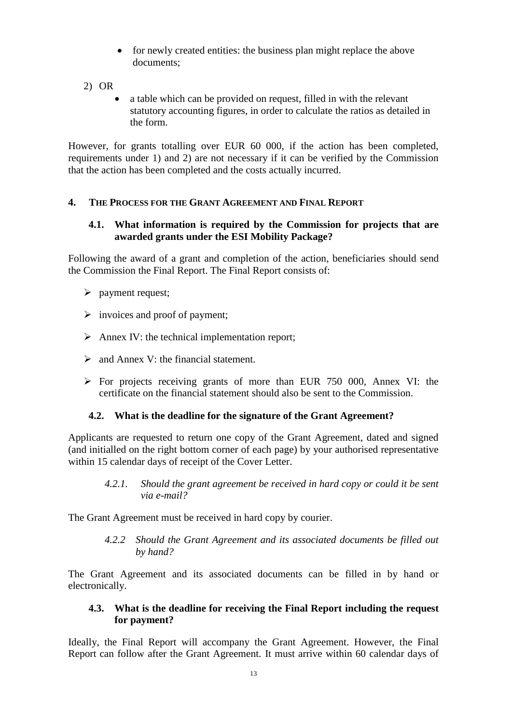- for newly created entities: the business plan might replace the above documents;
- 2) OR
	- a table which can be provided on request, filled in with the relevant statutory accounting figures, in order to calculate the ratios as detailed in the form.

However, for grants totalling over EUR 60 000, if the action has been completed, requirements under 1) and 2) are not necessary if it can be verified by the Commission that the action has been completed and the costs actually incurred.

# <span id="page-12-1"></span><span id="page-12-0"></span>**4. THE PROCESS FOR THE GRANT AGREEMENT AND FINAL REPORT**

#### **4.1. What information is required by the Commission for projects that are awarded grants under the ESI Mobility Package?**

Following the award of a grant and completion of the action, beneficiaries should send the Commission the Final Report. The Final Report consists of:

- $\triangleright$  payment request:
- $\triangleright$  invoices and proof of payment;
- $\triangleright$  Annex IV: the technical implementation report;
- $\triangleright$  and Annex V: the financial statement.
- $\triangleright$  For projects receiving grants of more than EUR 750 000, Annex VI: the certificate on the financial statement should also be sent to the Commission.

#### <span id="page-12-2"></span>**4.2. What is the deadline for the signature of the Grant Agreement?**

Applicants are requested to return one copy of the Grant Agreement, dated and signed (and initialled on the right bottom corner of each page) by your authorised representative within 15 calendar days of receipt of the Cover Letter.

*4.2.1. Should the grant agreement be received in hard copy or could it be sent via e-mail?* 

<span id="page-12-4"></span><span id="page-12-3"></span>The Grant Agreement must be received in hard copy by courier.

*4.2.2 Should the Grant Agreement and its associated documents be filled out by hand?*

The Grant Agreement and its associated documents can be filled in by hand or electronically.

#### <span id="page-12-5"></span>**4.3. What is the deadline for receiving the Final Report including the request for payment?**

Ideally, the Final Report will accompany the Grant Agreement. However, the Final Report can follow after the Grant Agreement. It must arrive within 60 calendar days of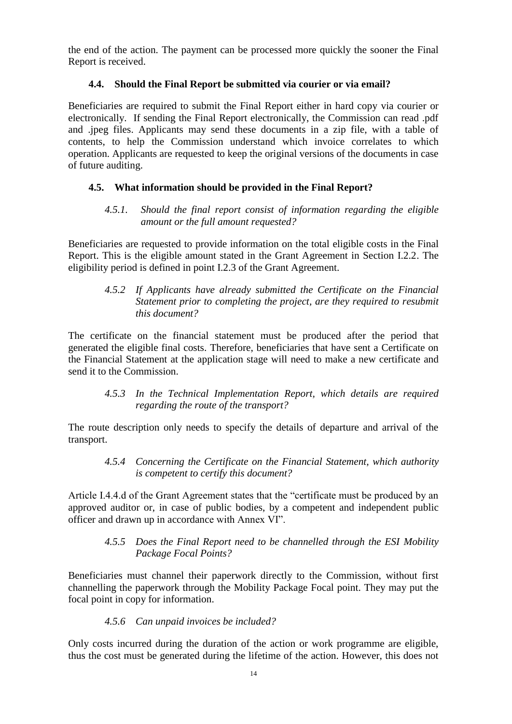the end of the action. The payment can be processed more quickly the sooner the Final Report is received.

# **4.4. Should the Final Report be submitted via courier or via email?**

<span id="page-13-0"></span>Beneficiaries are required to submit the Final Report either in hard copy via courier or electronically. If sending the Final Report electronically, the Commission can read .pdf and .jpeg files. Applicants may send these documents in a zip file, with a table of contents, to help the Commission understand which invoice correlates to which operation. Applicants are requested to keep the original versions of the documents in case of future auditing.

# <span id="page-13-2"></span><span id="page-13-1"></span>**4.5. What information should be provided in the Final Report?**

### *4.5.1. Should the final report consist of information regarding the eligible amount or the full amount requested?*

Beneficiaries are requested to provide information on the total eligible costs in the Final Report. This is the eligible amount stated in the Grant Agreement in Section I.2.2. The eligibility period is defined in point I.2.3 of the Grant Agreement.

#### <span id="page-13-3"></span>*4.5.2 If Applicants have already submitted the Certificate on the Financial Statement prior to completing the project, are they required to resubmit this document?*

The certificate on the financial statement must be produced after the period that generated the eligible final costs. Therefore, beneficiaries that have sent a Certificate on the Financial Statement at the application stage will need to make a new certificate and send it to the Commission.

### *4.5.3 In the Technical Implementation Report, which details are required regarding the route of the transport?*

<span id="page-13-5"></span><span id="page-13-4"></span>The route description only needs to specify the details of departure and arrival of the transport.

# *4.5.4 Concerning the Certificate on the Financial Statement, which authority is competent to certify this document?*

Article I.4.4.d of the Grant Agreement states that the "certificate must be produced by an approved auditor or, in case of public bodies, by a competent and independent public officer and drawn up in accordance with Annex VI".

# *4.5.5 Does the Final Report need to be channelled through the ESI Mobility Package Focal Points?*

<span id="page-13-6"></span>Beneficiaries must channel their paperwork directly to the Commission, without first channelling the paperwork through the Mobility Package Focal point. They may put the focal point in copy for information.

# *4.5.6 Can unpaid invoices be included?*

<span id="page-13-7"></span>Only costs incurred during the duration of the action or work programme are eligible, thus the cost must be generated during the lifetime of the action. However, this does not